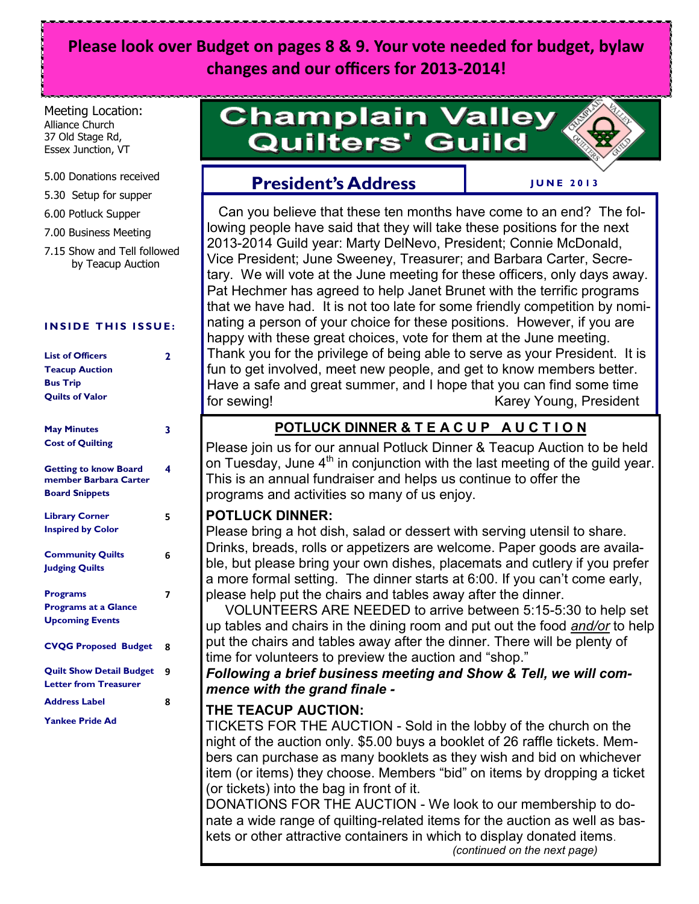## **Please look over Budget on pages 8 & 9. Your vote needed for budget, bylaw changes and our officers for 2013-2014!**

#### Meeting Location: Alliance Church 37 Old Stage Rd, Essex Junction, VT

#### 5.00 Donations received

- 5.30 Setup for supper
- 6.00 Potluck Supper
- 7.00 Business Meeting
- 7.15 Show and Tell followed by Teacup Auction

#### **INSIDE THIS ISSUE:**

| <b>List of Officers</b><br><b>Teacup Auction</b><br><b>Bus Trip</b><br><b>Quilts of Valor</b> | $\overline{2}$ |
|-----------------------------------------------------------------------------------------------|----------------|
| <b>May Minutes</b><br><b>Cost of Quilting</b>                                                 | 3              |
| <b>Getting to know Board</b><br>member Barbara Carter<br><b>Board Snippets</b>                | 4              |
| <b>Library Corner</b><br><b>Inspired by Color</b>                                             | 5              |
| <b>Community Quilts</b><br><b>Judging Quilts</b>                                              | 6              |
| <b>Programs</b><br><b>Programs at a Glance</b><br><b>Upcoming Events</b>                      | 7              |
| <b>CVQG Proposed Budget</b>                                                                   | 8              |
| <b>Quilt Show Detail Budget</b><br><b>Letter from Treasurer</b>                               | 9              |
| <b>Address Label</b><br><b>Yankee Pride Ad</b>                                                | 8              |

## **Champlain Valley Quilters' Guild**

## **President's Address**

#### **J U N E 2 0 1 3**

 Can you believe that these ten months have come to an end? The following people have said that they will take these positions for the next 2013-2014 Guild year: Marty DelNevo, President; Connie McDonald, Vice President; June Sweeney, Treasurer; and Barbara Carter, Secretary. We will vote at the June meeting for these officers, only days away. Pat Hechmer has agreed to help Janet Brunet with the terrific programs that we have had. It is not too late for some friendly competition by nominating a person of your choice for these positions. However, if you are happy with these great choices, vote for them at the June meeting. Thank you for the privilege of being able to serve as your President. It is fun to get involved, meet new people, and get to know members better. Have a safe and great summer, and I hope that you can find some time for sewing! The settle of the settle service of the Karey Young, President

## **POTLUCK DINNER & T E A C U P A U C T I O N**

Please join us for our annual Potluck Dinner & Teacup Auction to be held on Tuesday, June  $4<sup>th</sup>$  in conjunction with the last meeting of the guild year. This is an annual fundraiser and helps us continue to offer the programs and activities so many of us enjoy.

#### **POTLUCK DINNER:**

Please bring a hot dish, salad or dessert with serving utensil to share. Drinks, breads, rolls or appetizers are welcome. Paper goods are available, but please bring your own dishes, placemats and cutlery if you prefer a more formal setting. The dinner starts at 6:00. If you can't come early, please help put the chairs and tables away after the dinner.

 VOLUNTEERS ARE NEEDED to arrive between 5:15-5:30 to help set up tables and chairs in the dining room and put out the food *and/or* to help put the chairs and tables away after the dinner. There will be plenty of time for volunteers to preview the auction and "shop."

*Following a brief business meeting and Show & Tell, we will commence with the grand finale -*

#### **THE TEACUP AUCTION:**

TICKETS FOR THE AUCTION - Sold in the lobby of the church on the night of the auction only. \$5.00 buys a booklet of 26 raffle tickets. Members can purchase as many booklets as they wish and bid on whichever item (or items) they choose. Members "bid" on items by dropping a ticket (or tickets) into the bag in front of it.

DONATIONS FOR THE AUCTION - We look to our membership to donate a wide range of quilting-related items for the auction as well as baskets or other attractive containers in which to display donated items.

*(continued on the next page)*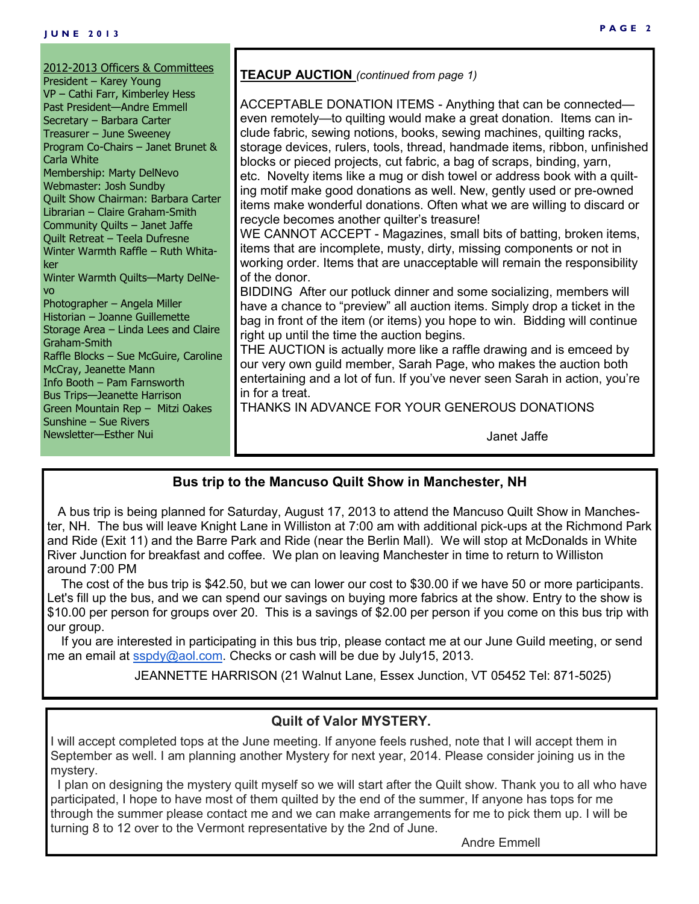## **Bus trip to the Mancuso Quilt Show in Manchester, NH**

 A bus trip is being planned for Saturday, August 17, 2013 to attend the Mancuso Quilt Show in Manchester, NH. The bus will leave Knight Lane in Williston at 7:00 am with additional pick-ups at the Richmond Park and Ride (Exit 11) and the Barre Park and Ride (near the Berlin Mall). We will stop at McDonalds in White River Junction for breakfast and coffee. We plan on leaving Manchester in time to return to Williston around 7:00 PM

 The cost of the bus trip is \$42.50, but we can lower our cost to \$30.00 if we have 50 or more participants. Let's fill up the bus, and we can spend our savings on buying more fabrics at the show. Entry to the show is \$10.00 per person for groups over 20. This is a savings of \$2.00 per person if you come on this bus trip with our group.

 If you are interested in participating in this bus trip, please contact me at our June Guild meeting, or send me an email at [sspdy@aol.com.](mailto:sspdy@aol.com) Checks or cash will be due by July15, 2013.

JEANNETTE HARRISON (21 Walnut Lane, Essex Junction, VT 05452 Tel: 871-5025)

## **Quilt of Valor MYSTERY.**

I will accept completed tops at the June meeting. If anyone feels rushed, note that I will accept them in September as well. I am planning another Mystery for next year, 2014. Please consider joining us in the mystery.

 I plan on designing the mystery quilt myself so we will start after the Quilt show. Thank you to all who have participated, I hope to have most of them quilted by the end of the summer, If anyone has tops for me through the summer please contact me and we can make arrangements for me to pick them up. I will be turning 8 to 12 over to the Vermont representative by the 2nd of June.

Andre Emmell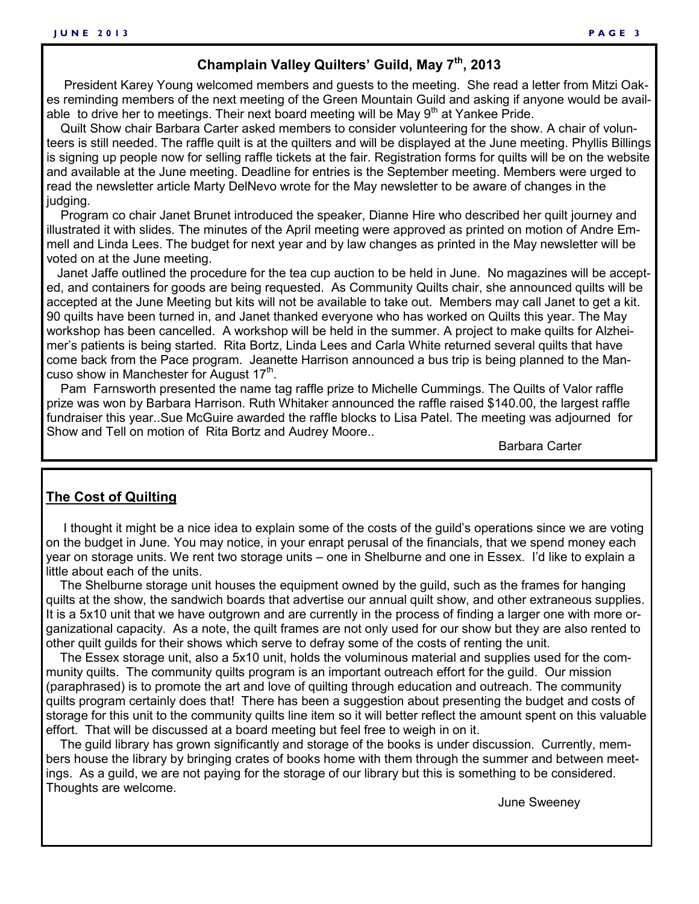## **Champlain Valley Quilters' Guild, May 7th, 2013**

 President Karey Young welcomed members and guests to the meeting. She read a letter from Mitzi Oakes reminding members of the next meeting of the Green Mountain Guild and asking if anyone would be available to drive her to meetings. Their next board meeting will be May  $9<sup>th</sup>$  at Yankee Pride.

 Quilt Show chair Barbara Carter asked members to consider volunteering for the show. A chair of volunteers is still needed. The raffle quilt is at the quilters and will be displayed at the June meeting. Phyllis Billings is signing up people now for selling raffle tickets at the fair. Registration forms for quilts will be on the website and available at the June meeting. Deadline for entries is the September meeting. Members were urged to read the newsletter article Marty DelNevo wrote for the May newsletter to be aware of changes in the judging.

 Program co chair Janet Brunet introduced the speaker, Dianne Hire who described her quilt journey and illustrated it with slides. The minutes of the April meeting were approved as printed on motion of Andre Emmell and Linda Lees. The budget for next year and by law changes as printed in the May newsletter will be voted on at the June meeting.

 Janet Jaffe outlined the procedure for the tea cup auction to be held in June. No magazines will be accepted, and containers for goods are being requested. As Community Quilts chair, she announced quilts will be accepted at the June Meeting but kits will not be available to take out. Members may call Janet to get a kit. 90 quilts have been turned in, and Janet thanked everyone who has worked on Quilts this year. The May workshop has been cancelled. A workshop will be held in the summer. A project to make quilts for Alzheimer's patients is being started. Rita Bortz, Linda Lees and Carla White returned several quilts that have come back from the Pace program. Jeanette Harrison announced a bus trip is being planned to the Mancuso show in Manchester for August  $17<sup>th</sup>$ .

 Pam Farnsworth presented the name tag raffle prize to Michelle Cummings. The Quilts of Valor raffle prize was won by Barbara Harrison. Ruth Whitaker announced the raffle raised \$140.00, the largest raffle fundraiser this year..Sue McGuire awarded the raffle blocks to Lisa Patel. The meeting was adjourned for Show and Tell on motion of Rita Bortz and Audrey Moore..

Barbara Carter

#### **The Cost of Quilting**

 I thought it might be a nice idea to explain some of the costs of the guild's operations since we are voting on the budget in June. You may notice, in your enrapt perusal of the financials, that we spend money each year on storage units. We rent two storage units – one in Shelburne and one in Essex. I'd like to explain a little about each of the units.

 The Shelburne storage unit houses the equipment owned by the guild, such as the frames for hanging quilts at the show, the sandwich boards that advertise our annual quilt show, and other extraneous supplies. It is a 5x10 unit that we have outgrown and are currently in the process of finding a larger one with more organizational capacity. As a note, the quilt frames are not only used for our show but they are also rented to other quilt guilds for their shows which serve to defray some of the costs of renting the unit.

 The Essex storage unit, also a 5x10 unit, holds the voluminous material and supplies used for the community quilts. The community quilts program is an important outreach effort for the guild. Our mission (paraphrased) is to promote the art and love of quilting through education and outreach. The community quilts program certainly does that! There has been a suggestion about presenting the budget and costs of storage for this unit to the community quilts line item so it will better reflect the amount spent on this valuable effort. That will be discussed at a board meeting but feel free to weigh in on it.

 The guild library has grown significantly and storage of the books is under discussion. Currently, members house the library by bringing crates of books home with them through the summer and between meetings. As a guild, we are not paying for the storage of our library but this is something to be considered. Thoughts are welcome.

June Sweeney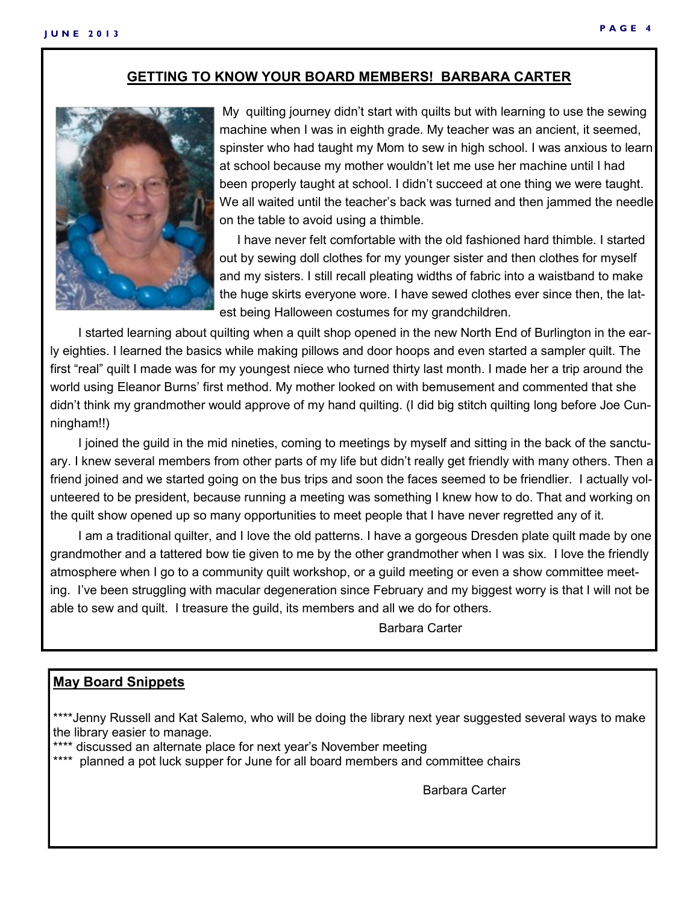#### **GETTING TO KNOW YOUR BOARD MEMBERS! BARBARA CARTER**



My quilting journey didn't start with quilts but with learning to use the sewing machine when I was in eighth grade. My teacher was an ancient, it seemed, spinster who had taught my Mom to sew in high school. I was anxious to learn at school because my mother wouldn't let me use her machine until I had been properly taught at school. I didn't succeed at one thing we were taught. We all waited until the teacher's back was turned and then jammed the needle on the table to avoid using a thimble.

 I have never felt comfortable with the old fashioned hard thimble. I started out by sewing doll clothes for my younger sister and then clothes for myself and my sisters. I still recall pleating widths of fabric into a waistband to make the huge skirts everyone wore. I have sewed clothes ever since then, the latest being Halloween costumes for my grandchildren.

 I started learning about quilting when a quilt shop opened in the new North End of Burlington in the early eighties. I learned the basics while making pillows and door hoops and even started a sampler quilt. The first "real" quilt I made was for my youngest niece who turned thirty last month. I made her a trip around the world using Eleanor Burns' first method. My mother looked on with bemusement and commented that she didn't think my grandmother would approve of my hand quilting. (I did big stitch quilting long before Joe Cunningham!!)

 I joined the guild in the mid nineties, coming to meetings by myself and sitting in the back of the sanctuary. I knew several members from other parts of my life but didn't really get friendly with many others. Then a friend joined and we started going on the bus trips and soon the faces seemed to be friendlier. I actually volunteered to be president, because running a meeting was something I knew how to do. That and working on the quilt show opened up so many opportunities to meet people that I have never regretted any of it.

 I am a traditional quilter, and I love the old patterns. I have a gorgeous Dresden plate quilt made by one grandmother and a tattered bow tie given to me by the other grandmother when I was six. I love the friendly atmosphere when I go to a community quilt workshop, or a guild meeting or even a show committee meeting. I've been struggling with macular degeneration since February and my biggest worry is that I will not be able to sew and quilt. I treasure the guild, its members and all we do for others.

Barbara Carter

#### **May Board Snippets**

\*\*\*\*Jenny Russell and Kat Salemo, who will be doing the library next year suggested several ways to make the library easier to manage.

\*\*\*\* discussed an alternate place for next year's November meeting

\*\*\*\* planned a pot luck supper for June for all board members and committee chairs

Barbara Carter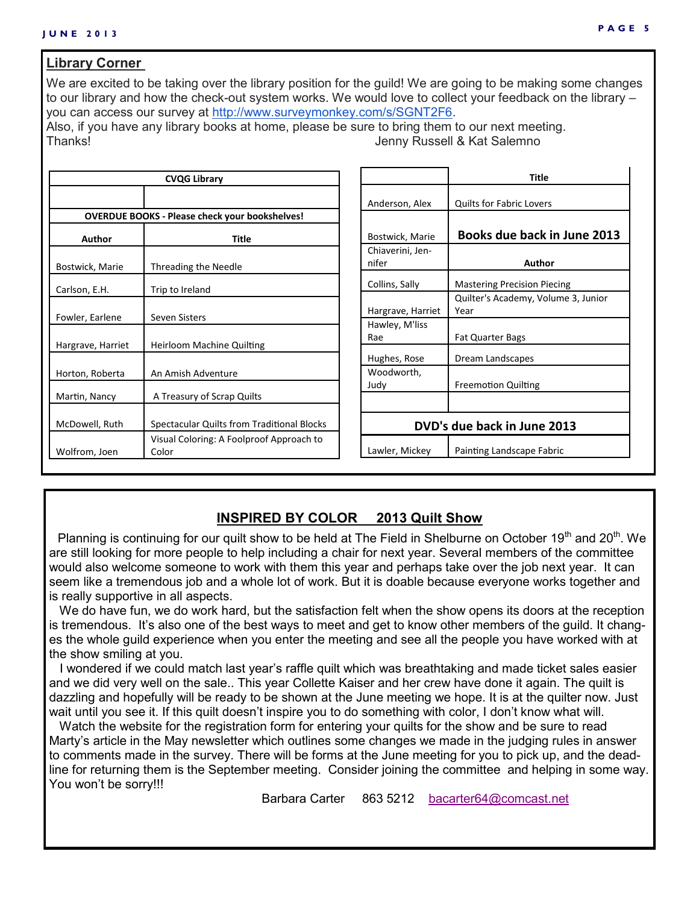#### **Library Corner**

We are excited to be taking over the library position for the quild! We are going to be making some changes to our library and how the check-out system works. We would love to collect your feedback on the library – you can access our survey at [http://www.surveymonkey.com/s/SGNT2F6.](http://www.surveymonkey.com/s/SGNT2F6) Also, if you have any library books at home, please be sure to bring them to our next meeting.

Thanks! Jenny Russell & Kat Salemno

|                                      | <b>CVQG Library</b>                                   |                           | <b>Title</b>                                |  |  |
|--------------------------------------|-------------------------------------------------------|---------------------------|---------------------------------------------|--|--|
|                                      |                                                       | Anderson, Alex            | <b>Quilts for Fabric Lovers</b>             |  |  |
|                                      | <b>OVERDUE BOOKS - Please check your bookshelves!</b> |                           |                                             |  |  |
| <b>Author</b>                        | <b>Title</b>                                          | Bostwick, Marie           | Books due back in June 2013                 |  |  |
| Bostwick, Marie                      | Threading the Needle                                  | Chiaverini, Jen-<br>nifer | Author                                      |  |  |
| Carlson, E.H.                        | Trip to Ireland                                       | Collins, Sally            | <b>Mastering Precision Piecing</b>          |  |  |
|                                      | Seven Sisters                                         | Hargrave, Harriet         | Quilter's Academy, Volume 3, Junior<br>Year |  |  |
| Fowler, Earlene<br>Hargrave, Harriet | Heirloom Machine Quilting                             | Hawley, M'liss<br>Rae     | <b>Fat Quarter Bags</b>                     |  |  |
|                                      |                                                       | Hughes, Rose              | Dream Landscapes                            |  |  |
| Horton, Roberta                      | An Amish Adventure                                    | Woodworth,                |                                             |  |  |
| Martin, Nancy                        | A Treasury of Scrap Quilts                            | Judy                      | <b>Freemotion Quilting</b>                  |  |  |
| McDowell, Ruth                       | Spectacular Quilts from Traditional Blocks            |                           | DVD's due back in June 2013                 |  |  |
| Wolfrom, Joen                        | Visual Coloring: A Foolproof Approach to<br>Color     | Lawler, Mickey            | Painting Landscape Fabric                   |  |  |

#### **INSPIRED BY COLOR 2013 Quilt Show**

Planning is continuing for our quilt show to be held at The Field in Shelburne on October 19<sup>th</sup> and 20<sup>th</sup>. We are still looking for more people to help including a chair for next year. Several members of the committee would also welcome someone to work with them this year and perhaps take over the job next year. It can seem like a tremendous job and a whole lot of work. But it is doable because everyone works together and is really supportive in all aspects.

We do have fun, we do work hard, but the satisfaction felt when the show opens its doors at the reception is tremendous. It's also one of the best ways to meet and get to know other members of the guild. It changes the whole guild experience when you enter the meeting and see all the people you have worked with at the show smiling at you.

 I wondered if we could match last year's raffle quilt which was breathtaking and made ticket sales easier and we did very well on the sale.. This year Collette Kaiser and her crew have done it again. The quilt is dazzling and hopefully will be ready to be shown at the June meeting we hope. It is at the quilter now. Just wait until you see it. If this quilt doesn't inspire you to do something with color, I don't know what will.

 Watch the website for the registration form for entering your quilts for the show and be sure to read Marty's article in the May newsletter which outlines some changes we made in the judging rules in answer to comments made in the survey. There will be forms at the June meeting for you to pick up, and the deadline for returning them is the September meeting. Consider joining the committee and helping in some way. You won't be sorry!!!

Barbara Carter 863 5212 [bacarter64@comcast.net](mailto:bacarter64@comcast.net)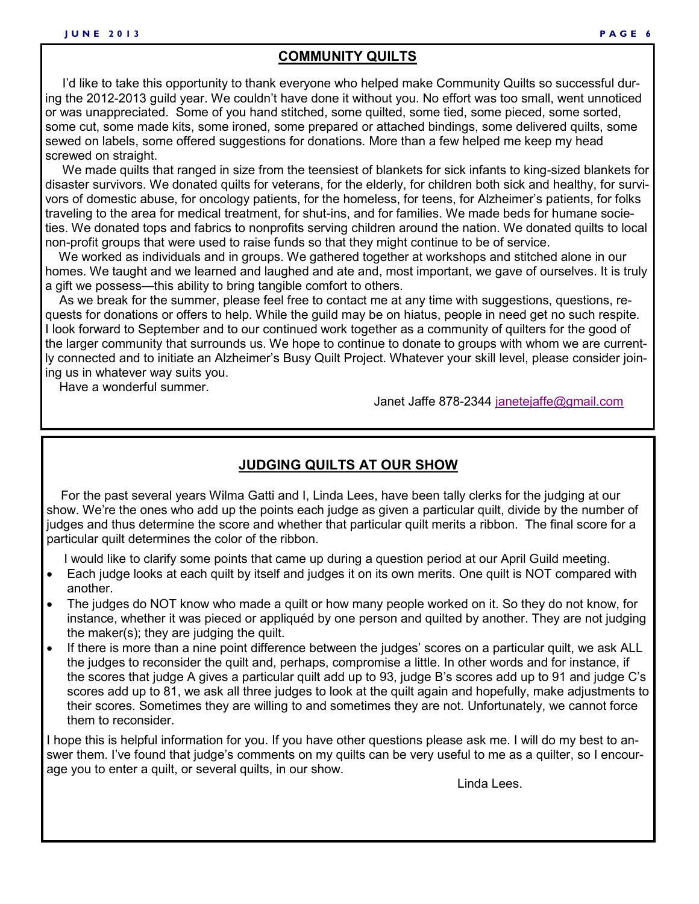#### **COMMUNITY QUILTS**

 I'd like to take this opportunity to thank everyone who helped make Community Quilts so successful during the 2012-2013 guild year. We couldn't have done it without you. No effort was too small, went unnoticed or was unappreciated. Some of you hand stitched, some quilted, some tied, some pieced, some sorted, some cut, some made kits, some ironed, some prepared or attached bindings, some delivered quilts, some sewed on labels, some offered suggestions for donations. More than a few helped me keep my head screwed on straight.

 We made quilts that ranged in size from the teensiest of blankets for sick infants to king-sized blankets for disaster survivors. We donated quilts for veterans, for the elderly, for children both sick and healthy, for survivors of domestic abuse, for oncology patients, for the homeless, for teens, for Alzheimer's patients, for folks traveling to the area for medical treatment, for shut-ins, and for families. We made beds for humane societies. We donated tops and fabrics to nonprofits serving children around the nation. We donated quilts to local non-profit groups that were used to raise funds so that they might continue to be of service.

 We worked as individuals and in groups. We gathered together at workshops and stitched alone in our homes. We taught and we learned and laughed and ate and, most important, we gave of ourselves. It is truly a gift we possess—this ability to bring tangible comfort to others.

 As we break for the summer, please feel free to contact me at any time with suggestions, questions, requests for donations or offers to help. While the guild may be on hiatus, people in need get no such respite. I look forward to September and to our continued work together as a community of quilters for the good of the larger community that surrounds us. We hope to continue to donate to groups with whom we are currently connected and to initiate an Alzheimer's Busy Quilt Project. Whatever your skill level, please consider joining us in whatever way suits you.

Have a wonderful summer.

Janet Jaffe 878-2344 [janetejaffe@gmail.com](mailto:janetejaffe@gmail.com)

#### **JUDGING QUILTS AT OUR SHOW**

 For the past several years Wilma Gatti and I, Linda Lees, have been tally clerks for the judging at our show. We're the ones who add up the points each judge as given a particular quilt, divide by the number of judges and thus determine the score and whether that particular quilt merits a ribbon. The final score for a particular quilt determines the color of the ribbon.

I would like to clarify some points that came up during a question period at our April Guild meeting.

- Each judge looks at each quilt by itself and judges it on its own merits. One quilt is NOT compared with another.
- The judges do NOT know who made a quilt or how many people worked on it. So they do not know, for instance, whether it was pieced or appliquéd by one person and quilted by another. They are not judging the maker(s); they are judging the quilt.
- If there is more than a nine point difference between the judges' scores on a particular quilt, we ask ALL the judges to reconsider the quilt and, perhaps, compromise a little. In other words and for instance, if the scores that judge A gives a particular quilt add up to 93, judge B's scores add up to 91 and judge C's scores add up to 81, we ask all three judges to look at the quilt again and hopefully, make adjustments to their scores. Sometimes they are willing to and sometimes they are not. Unfortunately, we cannot force them to reconsider.

I hope this is helpful information for you. If you have other questions please ask me. I will do my best to answer them. I've found that judge's comments on my quilts can be very useful to me as a quilter, so I encourage you to enter a quilt, or several quilts, in our show.

Linda Lees.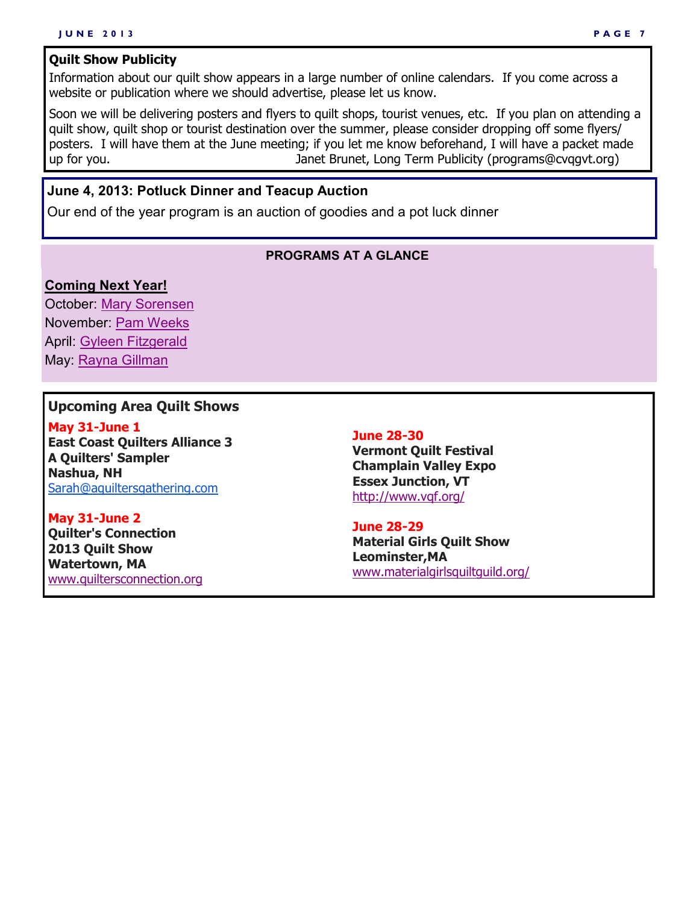#### **Quilt Show Publicity**

Information about our quilt show appears in a large number of online calendars. If you come across a website or publication where we should advertise, please let us know.

Soon we will be delivering posters and flyers to quilt shops, tourist venues, etc. If you plan on attending a quilt show, quilt shop or tourist destination over the summer, please consider dropping off some flyers/ posters. I will have them at the June meeting; if you let me know beforehand, I will have a packet made up for you. Janet Brunet, Long Term Publicity (programs@cvqgvt.org)

#### **June 4, 2013: Potluck Dinner and Teacup Auction**

Our end of the year program is an auction of goodies and a pot luck dinner

#### **PROGRAMS AT A GLANCE**

#### **Coming Next Year!**

October: [Mary Sorensen](http://www.maryappliques.com/) November: [Pam Weeks](http://www.pamweeksquilts.com/) April: [Gyleen Fitzgerald](http://www.colourfulstitches.com/) May: [Rayna Gillman](http://www.studio78.net/)

#### **Upcoming Area Quilt Shows**

**May 31-June 1 East Coast Quilters Alliance 3 A Quilters' Sampler Nashua, NH** [Sarah@aquiltersgathering.com](mailto:Sarah@aquiltersgathering.com)

**May 31-June 2 Quilter's Connection 2013 Quilt Show Watertown, MA** [www.quiltersconnection.org](http://www.quiltersconnection.org)

#### **June 28-30**

**Vermont Quilt Festival Champlain Valley Expo Essex Junction, VT** <http://www.vqf.org/>

#### **June 28-29**

**Material Girls Quilt Show Leominster,MA** [www.materialgirlsquiltguild.org/](http://www.materialgirlsquiltguild.org/)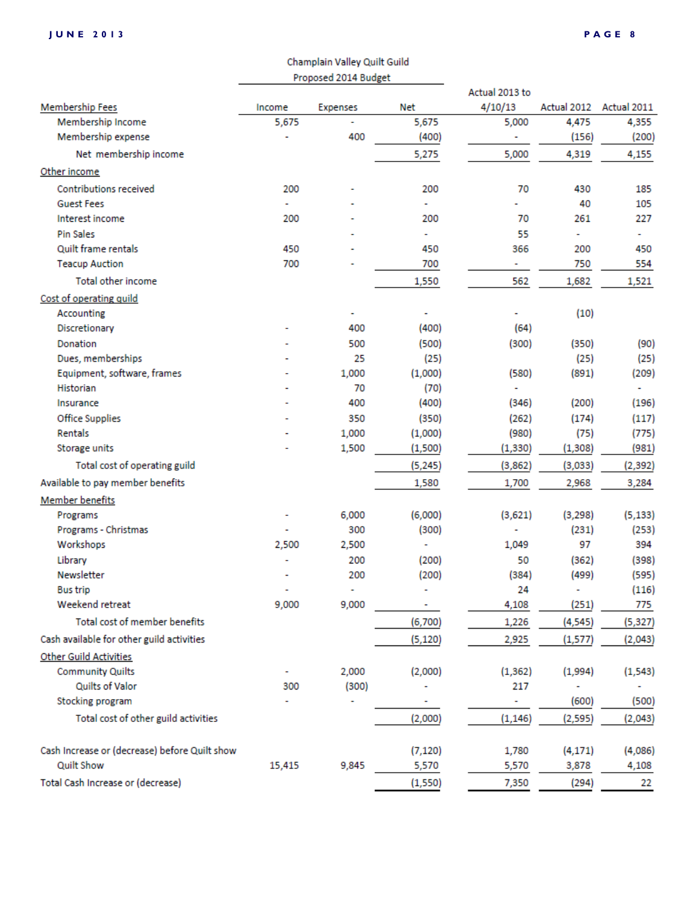|                                               | Champlain Valley Quilt Guild |                 |          |                |             |             |
|-----------------------------------------------|------------------------------|-----------------|----------|----------------|-------------|-------------|
|                                               | Proposed 2014 Budget         |                 |          |                |             |             |
|                                               |                              |                 |          | Actual 2013 to |             |             |
| <b>Membership Fees</b>                        | Income                       | <b>Expenses</b> | Net      | 4/10/13        | Actual 2012 | Actual 2011 |
| Membership Income                             | 5,675                        |                 | 5,675    | 5,000          | 4,475       | 4,355       |
| Membership expense                            |                              | 400             | (400)    |                | (156)       | (200)       |
| Net membership income                         |                              |                 | 5,275    | 5,000          | 4,319       | 4,155       |
| Other income                                  |                              |                 |          |                |             |             |
| <b>Contributions received</b>                 | 200                          |                 | 200      | 70             | 430         | 185         |
| <b>Guest Fees</b>                             |                              |                 | ٠        |                | 40          | 105         |
| Interest income                               | 200                          |                 | 200      | 70             | 261         | 227         |
| <b>Pin Sales</b>                              |                              |                 | ٠        | 55             | ٠           | ۰           |
| Quilt frame rentals                           | 450                          |                 | 450      | 366            | 200         | 450         |
| <b>Teacup Auction</b>                         | 700                          |                 | 700      | ٠              | 750         | 554         |
| Total other income                            |                              |                 | 1,550    | 562            | 1,682       | 1,521       |
| Cost of operating quild                       |                              |                 |          |                |             |             |
| Accounting                                    |                              |                 |          |                | (10)        |             |
| Discretionary                                 |                              | 400             | (400)    | (64)           |             |             |
| Donation                                      |                              | 500             | (500)    | (300)          | (350)       | (90)        |
| Dues, memberships                             |                              | 25              | (25)     |                | (25)        | (25)        |
| Equipment, software, frames                   |                              | 1,000           | (1,000)  | (580)          | (891)       | (209)       |
| Historian                                     |                              | 70              | (70)     |                |             |             |
| Insurance                                     |                              | 400             | (400)    | (346)          | (200)       | (196)       |
| <b>Office Supplies</b>                        |                              | 350             | (350)    | (262)          | (174)       | (117)       |
| Rentals                                       |                              | 1,000           | (1,000)  | (980)          | (75)        | (775)       |
| Storage units                                 |                              | 1,500           | (1,500)  | (1, 330)       | (1, 308)    | (981)       |
| Total cost of operating guild                 |                              |                 | (5, 245) | (3,862)        | (3,033)     | (2, 392)    |
| Available to pay member benefits              |                              |                 | 1,580    | 1,700          | 2,968       | 3,284       |
| <b>Member benefits</b>                        |                              |                 |          |                |             |             |
| Programs                                      |                              | 6,000           | (6,000)  | (3,621)        | (3, 298)    | (5, 133)    |
| Programs - Christmas                          |                              | 300             | (300)    |                | (231)       | (253)       |
| Workshops                                     | 2,500                        | 2,500           | ٠        | 1,049          | 97          | 394         |
| Library                                       |                              | 200             | (200)    | 50             | (362)       | (398)       |
| Newsletter                                    |                              | 200             | (200)    | (384)          | (499)       | (595)       |
| <b>Bus trip</b>                               |                              | ÷               |          | 24             | ä,          | (116)       |
| Weekend retreat                               | 9,000                        | 9,000           | ۰        | 4,108          | (251)       | 775         |
| Total cost of member benefits                 |                              |                 | (6,700)  | 1,226          | (4,545)     | (5, 327)    |
| Cash available for other guild activities     |                              |                 | (5, 120) | 2,925          | (1, 577)    | (2,043)     |
| Other Guild Activities                        |                              |                 |          |                |             |             |
| <b>Community Quilts</b>                       |                              | 2,000           | (2,000)  | (1, 362)       | (1,994)     | (1, 543)    |
| Quilts of Valor                               | 300                          | (300)           |          | 217            |             |             |
| Stocking program                              |                              |                 | ۰        | ۰              | (600)       | (500)       |
| Total cost of other guild activities          |                              |                 | (2,000)  | (1, 146)       | (2, 595)    | (2,043)     |
|                                               |                              |                 |          |                |             |             |
| Cash Increase or (decrease) before Quilt show |                              |                 | (7, 120) | 1,780          | (4, 171)    | (4,086)     |
| <b>Quilt Show</b>                             | 15,415                       | 9,845           | 5,570    | 5,570          | 3,878       | 4,108       |
| Total Cash Increase or (decrease)             |                              |                 | (1,550)  | 7,350          | (294)       | 22          |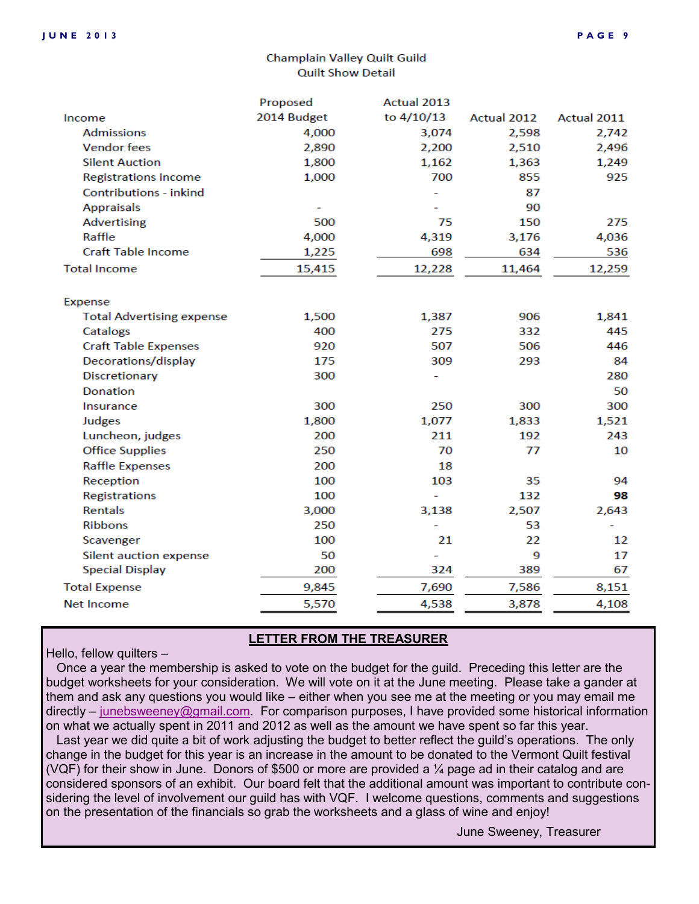#### Champlain Valley Quilt Guild **Quilt Show Detail**

|                                  | Proposed    | Actual 2013 |             |             |
|----------------------------------|-------------|-------------|-------------|-------------|
| Income                           | 2014 Budget | to 4/10/13  | Actual 2012 | Actual 2011 |
| <b>Admissions</b>                | 4,000       | 3,074       | 2,598       | 2,742       |
| <b>Vendor</b> fees               | 2,890       | 2,200       | 2,510       | 2,496       |
| <b>Silent Auction</b>            | 1,800       | 1,162       | 1,363       | 1,249       |
| <b>Registrations income</b>      | 1,000       | 700         | 855         | 925         |
| Contributions - inkind           |             |             | 87          |             |
| <b>Appraisals</b>                |             |             | 90          |             |
| Advertising                      | 500         | 75          | 150         | 275         |
| Raffle                           | 4,000       | 4,319       | 3,176       | 4,036       |
| <b>Craft Table Income</b>        | 1,225       | 698         | 634         | 536         |
| <b>Total Income</b>              | 15,415      | 12,228      | 11,464      | 12,259      |
| Expense                          |             |             |             |             |
| <b>Total Advertising expense</b> | 1,500       | 1,387       | 906         | 1,841       |
| Catalogs                         | 400         | 275         | 332         | 445         |
| <b>Craft Table Expenses</b>      | 920         | 507         | 506         | 446         |
| Decorations/display              | 175         | 309         | 293         | 84          |
| Discretionary                    | 300         |             |             | 280         |
| <b>Donation</b>                  |             |             |             | 50          |
| Insurance                        | 300         | 250         | 300         | 300         |
| Judges                           | 1,800       | 1,077       | 1,833       | 1,521       |
| Luncheon, judges                 | 200         | 211         | 192         | 243         |
| <b>Office Supplies</b>           | 250         | 70          | 77          | 10          |
| <b>Raffle Expenses</b>           | 200         | 18          |             |             |
| Reception                        | 100         | 103         | 35          | 94          |
| <b>Registrations</b>             | 100         |             | 132         | 98          |
| Rentals                          | 3,000       | 3,138       | 2,507       | 2,643       |
| <b>Ribbons</b>                   | 250         |             | 53          |             |
| Scavenger                        | 100         | 21          | 22          | 12          |
| Silent auction expense           | 50          |             | 9           | 17          |
| <b>Special Display</b>           | 200         | 324         | 389         | 67          |
| <b>Total Expense</b>             | 9,845       | 7,690       | 7,586       | 8,151       |
| Net Income                       | 5,570       | 4,538       | 3,878       | 4,108       |
|                                  |             |             |             |             |

#### **LETTER FROM THE TREASURER**

#### Hello, fellow quilters –

 Once a year the membership is asked to vote on the budget for the guild. Preceding this letter are the budget worksheets for your consideration. We will vote on it at the June meeting. Please take a gander at them and ask any questions you would like – either when you see me at the meeting or you may email me directly – [junebsweeney@gmail.com.](mailto:junebsweeney@gmail.com) For comparison purposes, I have provided some historical information on what we actually spent in 2011 and 2012 as well as the amount we have spent so far this year.

 Last year we did quite a bit of work adjusting the budget to better reflect the guild's operations. The only change in the budget for this year is an increase in the amount to be donated to the Vermont Quilt festival (VQF) for their show in June. Donors of \$500 or more are provided a  $\frac{1}{4}$  page ad in their catalog and are considered sponsors of an exhibit. Our board felt that the additional amount was important to contribute considering the level of involvement our guild has with VQF. I welcome questions, comments and suggestions on the presentation of the financials so grab the worksheets and a glass of wine and enjoy!

June Sweeney, Treasurer